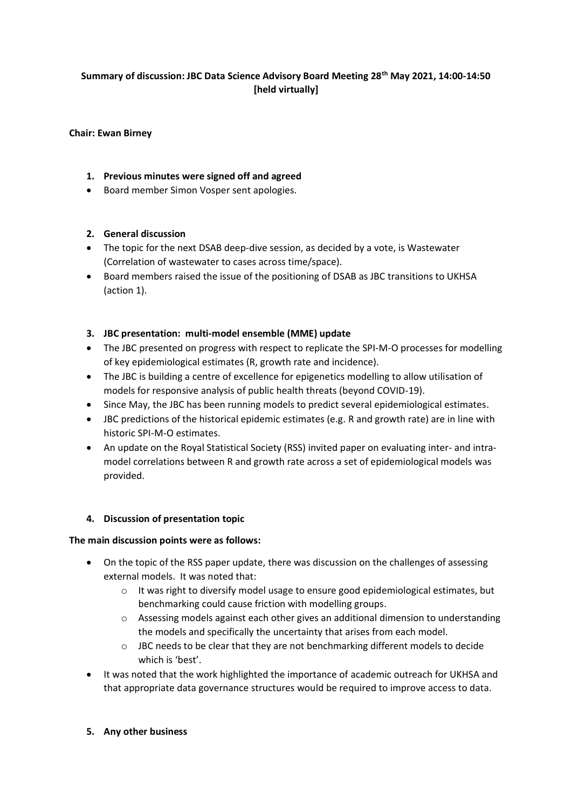## **Summary of discussion: JBC Data Science Advisory Board Meeting 28th May 2021, 14:00-14:50 [held virtually]**

#### **Chair: Ewan Birney**

## **1. Previous minutes were signed off and agreed**

• Board member Simon Vosper sent apologies.

#### **2. General discussion**

- The topic for the next DSAB deep-dive session, as decided by a vote, is Wastewater (Correlation of wastewater to cases across time/space).
- Board members raised the issue of the positioning of DSAB as JBC transitions to UKHSA (action 1).

#### **3. JBC presentation: multi-model ensemble (MME) update**

- The JBC presented on progress with respect to replicate the SPI-M-O processes for modelling of key epidemiological estimates (R, growth rate and incidence).
- The JBC is building a centre of excellence for epigenetics modelling to allow utilisation of models for responsive analysis of public health threats (beyond COVID-19).
- Since May, the JBC has been running models to predict several epidemiological estimates.
- JBC predictions of the historical epidemic estimates (e.g. R and growth rate) are in line with historic SPI-M-O estimates.
- An update on the Royal Statistical Society (RSS) invited paper on evaluating inter- and intramodel correlations between R and growth rate across a set of epidemiological models was provided.

## **4. Discussion of presentation topic**

#### **The main discussion points were as follows:**

- On the topic of the RSS paper update, there was discussion on the challenges of assessing external models. It was noted that:
	- $\circ$  It was right to diversify model usage to ensure good epidemiological estimates, but benchmarking could cause friction with modelling groups.
	- o Assessing models against each other gives an additional dimension to understanding the models and specifically the uncertainty that arises from each model.
	- $\circ$  JBC needs to be clear that they are not benchmarking different models to decide which is 'best'.
- It was noted that the work highlighted the importance of academic outreach for UKHSA and that appropriate data governance structures would be required to improve access to data.
- **5. Any other business**